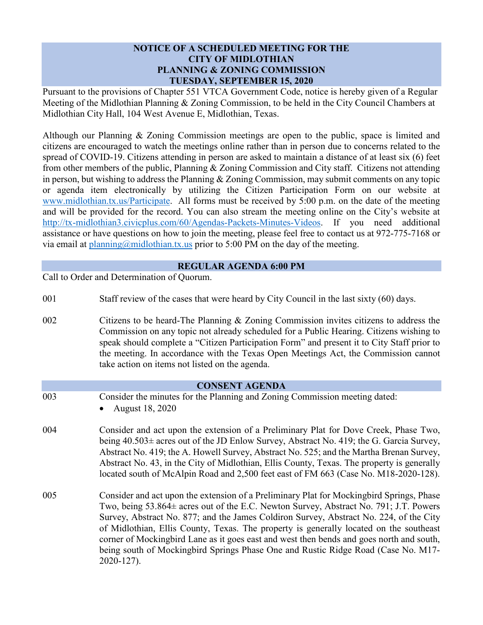## **NOTICE OF A SCHEDULED MEETING FOR THE CITY OF MIDLOTHIAN PLANNING & ZONING COMMISSION TUESDAY, SEPTEMBER 15, 2020**

Pursuant to the provisions of Chapter 551 VTCA Government Code, notice is hereby given of a Regular Meeting of the Midlothian Planning & Zoning Commission, to be held in the City Council Chambers at Midlothian City Hall, 104 West Avenue E, Midlothian, Texas.

Although our Planning & Zoning Commission meetings are open to the public, space is limited and citizens are encouraged to watch the meetings online rather than in person due to concerns related to the spread of COVID-19. Citizens attending in person are asked to maintain a distance of at least six (6) feet from other members of the public, Planning & Zoning Commission and City staff. Citizens not attending in person, but wishing to address the Planning & Zoning Commission, may submit comments on any topic or agenda item electronically by utilizing the Citizen Participation Form on our website at [www.midlothian.tx.us/Participate.](http://www.midlothian.tx.us/Participate) All forms must be received by 5:00 p.m. on the date of the meeting and will be provided for the record. You can also stream the meeting online on the City's website at [http://tx-midlothian3.civicplus.com/60/Agendas-Packets-Minutes-Videos.](http://tx-midlothian3.civicplus.com/60/Agendas-Packets-Minutes-Videos) If you need additional assistance or have questions on how to join the meeting, please feel free to contact us at 972-775-7168 or via email at [planning@midlothian.tx.us](mailto:planning@midlothian.tx.us) prior to 5:00 PM on the day of the meeting.

## **REGULAR AGENDA 6:00 PM**

Call to Order and Determination of Quorum.

2020-127).

- 001 Staff review of the cases that were heard by City Council in the last sixty (60) days.
- 002 Citizens to be heard-The Planning & Zoning Commission invites citizens to address the Commission on any topic not already scheduled for a Public Hearing. Citizens wishing to speak should complete a "Citizen Participation Form" and present it to City Staff prior to the meeting. In accordance with the Texas Open Meetings Act, the Commission cannot take action on items not listed on the agenda.

# **CONSENT AGENDA** 003 Consider the minutes for the Planning and Zoning Commission meeting dated: • August 18, 2020 004 Consider and act upon the extension of a Preliminary Plat for Dove Creek, Phase Two, being 40.503± acres out of the JD Enlow Survey, Abstract No. 419; the G. Garcia Survey, Abstract No. 419; the A. Howell Survey, Abstract No. 525; and the Martha Brenan Survey, Abstract No. 43, in the City of Midlothian, Ellis County, Texas. The property is generally located south of McAlpin Road and 2,500 feet east of FM 663 (Case No. M18-2020-128). 005 Consider and act upon the extension of a Preliminary Plat for Mockingbird Springs, Phase Two, being 53.864± acres out of the E.C. Newton Survey, Abstract No. 791; J.T. Powers Survey, Abstract No. 877; and the James Coldiron Survey, Abstract No. 224, of the City of Midlothian, Ellis County, Texas. The property is generally located on the southeast corner of Mockingbird Lane as it goes east and west then bends and goes north and south,

being south of Mockingbird Springs Phase One and Rustic Ridge Road (Case No. M17-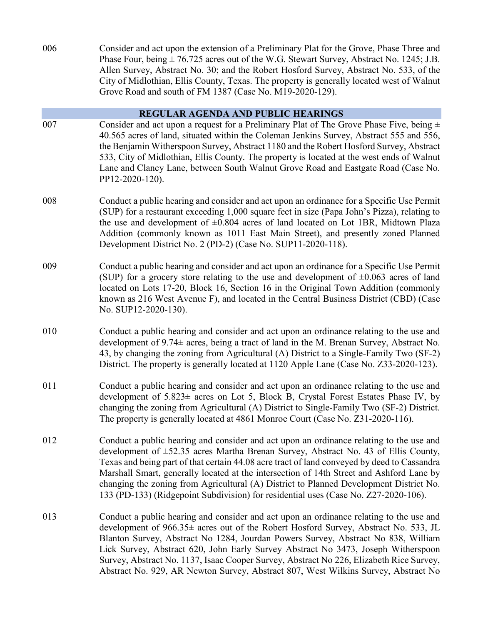006 Consider and act upon the extension of a Preliminary Plat for the Grove, Phase Three and Phase Four, being  $\pm$  76.725 acres out of the W.G. Stewart Survey, Abstract No. 1245; J.B. Allen Survey, Abstract No. 30; and the Robert Hosford Survey, Abstract No. 533, of the City of Midlothian, Ellis County, Texas. The property is generally located west of Walnut Grove Road and south of FM 1387 (Case No. M19-2020-129).

#### **REGULAR AGENDA AND PUBLIC HEARINGS**

- 007 Consider and act upon a request for a Preliminary Plat of The Grove Phase Five, being  $\pm$ 40.565 acres of land, situated within the Coleman Jenkins Survey, Abstract 555 and 556, the Benjamin Witherspoon Survey, Abstract 1180 and the Robert Hosford Survey, Abstract 533, City of Midlothian, Ellis County. The property is located at the west ends of Walnut Lane and Clancy Lane, between South Walnut Grove Road and Eastgate Road (Case No. PP12-2020-120).
- 008 Conduct a public hearing and consider and act upon an ordinance for a Specific Use Permit (SUP) for a restaurant exceeding 1,000 square feet in size (Papa John's Pizza), relating to the use and development of  $\pm 0.804$  acres of land located on Lot 1BR, Midtown Plaza Addition (commonly known as 1011 East Main Street), and presently zoned Planned Development District No. 2 (PD-2) (Case No. SUP11-2020-118).
- 009 Conduct a public hearing and consider and act upon an ordinance for a Specific Use Permit (SUP) for a grocery store relating to the use and development of  $\pm 0.063$  acres of land located on Lots 17-20, Block 16, Section 16 in the Original Town Addition (commonly known as 216 West Avenue F), and located in the Central Business District (CBD) (Case No. SUP12-2020-130).
- 010 Conduct a public hearing and consider and act upon an ordinance relating to the use and development of 9.74± acres, being a tract of land in the M. Brenan Survey, Abstract No. 43, by changing the zoning from Agricultural (A) District to a Single-Family Two (SF-2) District. The property is generally located at 1120 Apple Lane (Case No. Z33-2020-123).
- 011 Conduct a public hearing and consider and act upon an ordinance relating to the use and development of 5.823± acres on Lot 5, Block B, Crystal Forest Estates Phase IV, by changing the zoning from Agricultural (A) District to Single-Family Two (SF-2) District. The property is generally located at 4861 Monroe Court (Case No. Z31-2020-116).
- 012 Conduct a public hearing and consider and act upon an ordinance relating to the use and development of ±52.35 acres Martha Brenan Survey, Abstract No. 43 of Ellis County, Texas and being part of that certain 44.08 acre tract of land conveyed by deed to Cassandra Marshall Smart, generally located at the intersection of 14th Street and Ashford Lane by changing the zoning from Agricultural (A) District to Planned Development District No. 133 (PD-133) (Ridgepoint Subdivision) for residential uses (Case No. Z27-2020-106).
- 013 Conduct a public hearing and consider and act upon an ordinance relating to the use and development of 966.35± acres out of the Robert Hosford Survey, Abstract No. 533, JL Blanton Survey, Abstract No 1284, Jourdan Powers Survey, Abstract No 838, William Lick Survey, Abstract 620, John Early Survey Abstract No 3473, Joseph Witherspoon Survey, Abstract No. 1137, Isaac Cooper Survey, Abstract No 226, Elizabeth Rice Survey, Abstract No. 929, AR Newton Survey, Abstract 807, West Wilkins Survey, Abstract No